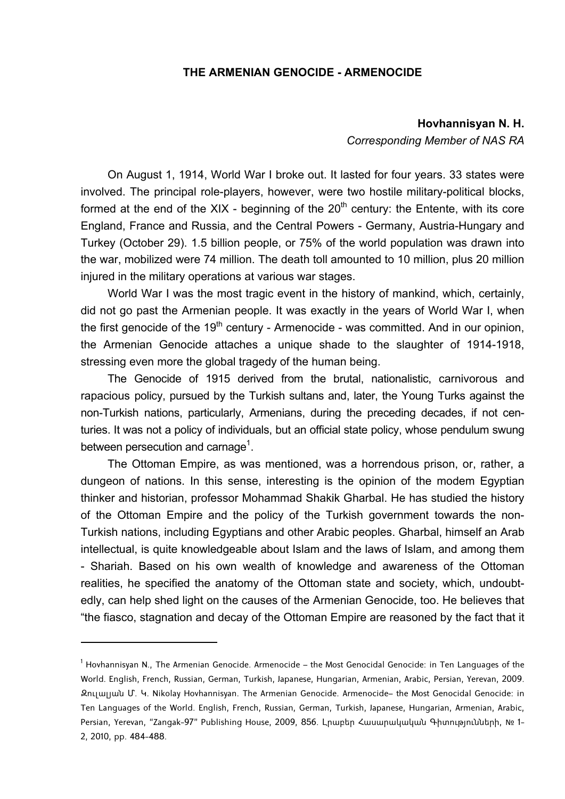## **THE ARMENIAN GENOCIDE - ARMENOCIDE**

## **Hovhannisyan N. H.**

*Corresponding Member of NAS RA* 

On August 1, 1914, World War I broke out. It lasted for four years. 33 states were involved. The principal role-players, however, were two hostile military-political blocks, formed at the end of the XIX - beginning of the  $20<sup>th</sup>$  century: the Entente, with its core England, France and Russia, and the Central Powers - Germany, Austria-Hungary and Turkey (October 29). 1.5 billion people, or 75% of the world population was drawn into the war, mobilized were 74 million. The death toll amounted to 10 million, plus 20 million injured in the military operations at various war stages.

World War I was the most tragic event in the history of mankind, which, certainly, did not go past the Armenian people. It was exactly in the years of World War I, when the first genocide of the  $19<sup>th</sup>$  century - Armenocide - was committed. And in our opinion, the Armenian Genocide attaches a unique shade to the slaughter of 1914-1918, stressing even more the global tragedy of the human being.

The Genocide of 1915 derived from the brutal, nationalistic, carnivorous and rapacious policy, pursued by the Turkish sultans and, later, the Young Turks against the non-Turkish nations, particularly, Armenians, during the preceding decades, if not centuries. It was not a policy of individuals, but an official state policy, whose pendulum swung between persecution and carnage<sup>1</sup>.

The Ottoman Empire, as was mentioned, was a horrendous prison, or, rather, a dungeon of nations. In this sense, interesting is the opinion of the modem Egyptian thinker and historian, professor Mohammad Shakik Gharbal. He has studied the history of the Ottoman Empire and the policy of the Turkish government towards the non-Turkish nations, including Egyptians and other Arabic peoples. Gharbal, himself an Arab intellectual, is quite knowledgeable about Islam and the laws of Islam, and among them - Shariah. Based on his own wealth of knowledge and awareness of the Ottoman realities, he specified the anatomy of the Ottoman state and society, which, undoubtedly, can help shed light on the causes of the Armenian Genocide, too. He believes that "the fiasco, stagnation and decay of the Ottoman Empire are reasoned by the fact that it

 $^{\rm 1}$  Hovhannisyan N., The Armenian Genocide. Armenocide — the Most Genocidal Genocide: in Ten Languages of the World. English, French, Russian, German, Turkish, Japanese, Hungarian, Armenian, Arabic, Persian, Yerevan, 2009. Զուլալյան Մ. Կ. Nikolay Hovhannisyan. The Armenian Genocide. Armenocide– the Most Genocidal Genocide: in Ten Languages of the World. English, French, Russian, German, Turkish, Japanese, Hungarian, Armenian, Arabic, Persian, Yerevan, "Zangak-97" Publishing House, 2009, 856. Լրաբեր Հասարակական Գիտությունների, № 1- 2, 2010, pp. 484-488.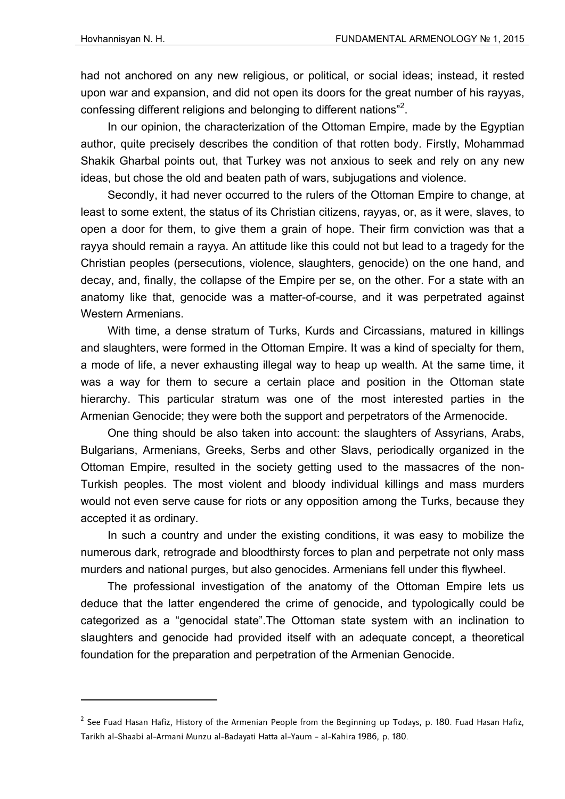had not anchored on any new religious, or political, or social ideas; instead, it rested upon war and expansion, and did not open its doors for the great number of his rayyas, confessing different religions and belonging to different nations"<sup>2</sup>.

In our opinion, the characterization of the Ottoman Empire, made by the Egyptian author, quite precisely describes the condition of that rotten body. Firstly, Mohammad Shakik Gharbal points out, that Turkey was not anxious to seek and rely on any new ideas, but chose the old and beaten path of wars, subjugations and violence.

Secondly, it had never occurred to the rulers of the Ottoman Empire to change, at least to some extent, the status of its Christian citizens, rayyas, or, as it were, slaves, to open a door for them, to give them a grain of hope. Their firm conviction was that a rayya should remain a rayya. An attitude like this could not but lead to a tragedy for the Christian peoples (persecutions, violence, slaughters, genocide) on the one hand, and decay, and, finally, the collapse of the Empire per se, on the other. For a state with an anatomy like that, genocide was a matter-of-course, and it was perpetrated against Western Armenians.

With time, a dense stratum of Turks, Kurds and Circassians, matured in killings and slaughters, were formed in the Ottoman Empire. It was a kind of specialty for them, a mode of life, a never exhausting illegal way to heap up wealth. At the same time, it was a way for them to secure a certain place and position in the Ottoman state hierarchy. This particular stratum was one of the most interested parties in the Armenian Genocide; they were both the support and perpetrators of the Armenocide.

One thing should be also taken into account: the slaughters of Assyrians, Arabs, Bulgarians, Armenians, Greeks, Serbs and other Slavs, periodically organized in the Ottoman Empire, resulted in the society getting used to the massacres of the non-Turkish peoples. The most violent and bloody individual killings and mass murders would not even serve cause for riots or any opposition among the Turks, because they accepted it as ordinary.

In such a country and under the existing conditions, it was easy to mobilize the numerous dark, retrograde and bloodthirsty forces to plan and perpetrate not only mass murders and national purges, but also genocides. Armenians fell under this flywheel.

The professional investigation of the anatomy of the Ottoman Empire lets us deduce that the latter engendered the crime of genocide, and typologically could be categorized as a "genocidal state".The Ottoman state system with an inclination to slaughters and genocide had provided itself with an adequate concept, a theoretical foundation for the preparation and perpetration of the Armenian Genocide.

 $^{\text{2}}$  See Fuad Hasan Hafiz, History of the Armenian People from the Beginning up Todays, p. 180. Fuad Hasan Hafiz, Tarikh al-Shaabi al-Armani Munzu al-Badayati Hatta al-Yaum - al-Kahira 1986, p. 180.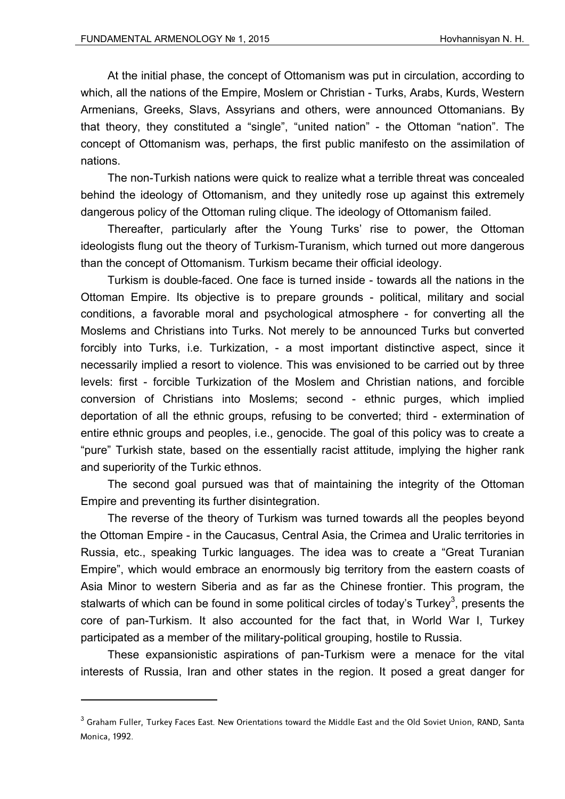At the initial phase, the concept of Ottomanism was put in circulation, according to which, all the nations of the Empire, Moslem or Christian - Turks, Arabs, Kurds, Western Armenians, Greeks, Slavs, Assyrians and others, were announced Ottomanians. By that theory, they constituted a "single", "united nation" - the Ottoman "nation". The concept of Ottomanism was, perhaps, the first public manifesto on the assimilation of nations.

The non-Turkish nations were quick to realize what a terrible threat was concealed behind the ideology of Ottomanism, and they unitedly rose up against this extremely dangerous policy of the Ottoman ruling clique. The ideology of Ottomanism failed.

Thereafter, particularly after the Young Turks' rise to power, the Ottoman ideologists flung out the theory of Turkism-Turanism, which turned out more dangerous than the concept of Ottomanism. Turkism became their official ideology.

Turkism is double-faced. One face is turned inside - towards all the nations in the Ottoman Empire. Its objective is to prepare grounds - political, military and social conditions, a favorable moral and psychological atmosphere - for converting all the Moslems and Christians into Turks. Not merely to be announced Turks but converted forcibly into Turks, i.e. Turkization, - a most important distinctive aspect, since it necessarily implied a resort to violence. This was envisioned to be carried out by three levels: first - forcible Turkization of the Moslem and Christian nations, and forcible conversion of Christians into Moslems; second - ethnic purges, which implied deportation of all the ethnic groups, refusing to be converted; third - extermination of entire ethnic groups and peoples, i.e., genocide. The goal of this policy was to create a "pure" Turkish state, based on the essentially racist attitude, implying the higher rank and superiority of the Turkic ethnos.

The second goal pursued was that of maintaining the integrity of the Ottoman Empire and preventing its further disintegration.

The reverse of the theory of Turkism was turned towards all the peoples beyond the Ottoman Empire - in the Caucasus, Central Asia, the Crimea and Uralic territories in Russia, etc., speaking Turkic languages. The idea was to create a "Great Turanian" Empire", which would embrace an enormously big territory from the eastern coasts of Asia Minor to western Siberia and as far as the Chinese frontier. This program, the stalwarts of which can be found in some political circles of today's Turkey<sup>3</sup>, presents the core of pan-Turkism. It also accounted for the fact that, in World War I, Turkey participated as a member of the military-political grouping, hostile to Russia.

These expansionistic aspirations of pan-Turkism were a menace for the vital interests of Russia, Iran and other states in the region. It posed a great danger for

 $^3$  Graham Fuller, Turkey Faces East. New Orientations toward the Middle East and the Old Soviet Union, RAND, Santa Monica, 1992.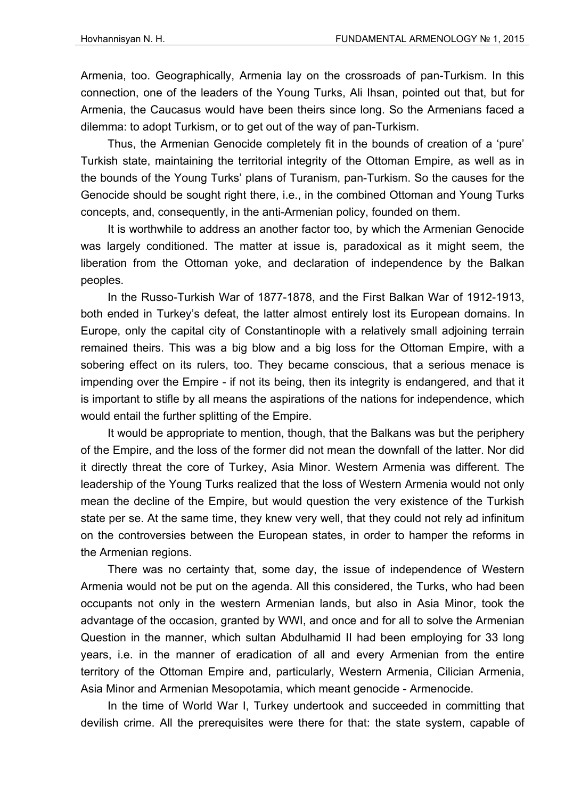Armenia, too. Geographically, Armenia lay on the crossroads of pan-Turkism. In this connection, one of the leaders of the Young Turks, Ali Ihsan, pointed out that, but for Armenia, the Caucasus would have been theirs since long. So the Armenians faced a dilemma: to adopt Turkism, or to get out of the way of pan-Turkism.

Thus, the Armenian Genocide completely fit in the bounds of creation of a 'pure' Turkish state, maintaining the territorial integrity of the Ottoman Empire, as well as in the bounds of the Young Turks' plans of Turanism, pan-Turkism. So the causes for the Genocide should be sought right there, i.e., in the combined Ottoman and Young Turks concepts, and, consequently, in the anti-Armenian policy, founded on them.

It is worthwhile to address an another factor too, by which the Armenian Genocide was largely conditioned. The matter at issue is, paradoxical as it might seem, the liberation from the Ottoman yoke, and declaration of independence by the Balkan peoples.

In the Russo-Turkish War of 1877-1878, and the First Balkan War of 1912-1913, both ended in Turkey's defeat, the latter almost entirely lost its European domains. In Europe, only the capital city of Constantinople with a relatively small adjoining terrain remained theirs. This was a big blow and a big loss for the Ottoman Empire, with a sobering effect on its rulers, too. They became conscious, that a serious menace is impending over the Empire - if not its being, then its integrity is endangered, and that it is important to stifle by all means the aspirations of the nations for independence, which would entail the further splitting of the Empire.

It would be appropriate to mention, though, that the Balkans was but the periphery of the Empire, and the loss of the former did not mean the downfall of the latter. Nor did it directly threat the core of Turkey, Asia Minor. Western Armenia was different. The leadership of the Young Turks realized that the loss of Western Armenia would not only mean the decline of the Empire, but would question the very existence of the Turkish state per se. At the same time, they knew very well, that they could not rely ad infinitum on the controversies between the European states, in order to hamper the reforms in the Armenian regions.

There was no certainty that, some day, the issue of independence of Western Armenia would not be put on the agenda. All this considered, the Turks, who had been occupants not only in the western Armenian lands, but also in Asia Minor, took the advantage of the occasion, granted by WWI, and once and for all to solve the Armenian Question in the manner, which sultan Abdulhamid II had been employing for 33 long years, i.e. in the manner of eradication of all and every Armenian from the entire territory of the Ottoman Empire and, particularly, Western Armenia, Cilician Armenia, Asia Minor and Armenian Mesopotamia, which meant genocide - Armenocide.

In the time of World War I, Turkey undertook and succeeded in committing that devilish crime. All the prerequisites were there for that: the state system, capable of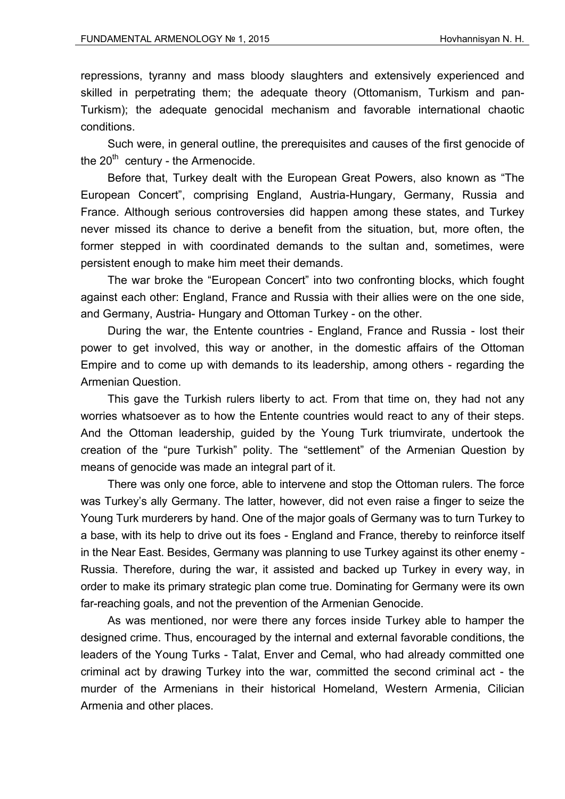repressions, tyranny and mass bloody slaughters and extensively experienced and skilled in perpetrating them; the adequate theory (Ottomanism, Turkism and pan-Turkism); the adequate genocidal mechanism and favorable international chaotic conditions.

Such were, in general outline, the prerequisites and causes of the first genocide of the  $20<sup>th</sup>$  century - the Armenocide.

Before that, Turkey dealt with the European Great Powers, also known as "The European Concert", comprising England, Austria-Hungary, Germany, Russia and France. Although serious controversies did happen among these states, and Turkey never missed its chance to derive a benefit from the situation, but, more often, the former stepped in with coordinated demands to the sultan and, sometimes, were persistent enough to make him meet their demands.

The war broke the "European Concert" into two confronting blocks, which fought against each other: England, France and Russia with their allies were on the one side, and Germany, Austria- Hungary and Ottoman Turkey - on the other.

During the war, the Entente countries - England, France and Russia - lost their power to get involved, this way or another, in the domestic affairs of the Ottoman Empire and to come up with demands to its leadership, among others - regarding the Armenian Question.

This gave the Turkish rulers liberty to act. From that time on, they had not any worries whatsoever as to how the Entente countries would react to any of their steps. And the Ottoman leadership, guided by the Young Turk triumvirate, undertook the creation of the "pure Turkish" polity. The "settlement" of the Armenian Question by means of genocide was made an integral part of it.

There was only one force, able to intervene and stop the Ottoman rulers. The force was Turkey's ally Germany. The latter, however, did not even raise a finger to seize the Young Turk murderers by hand. One of the major goals of Germany was to turn Turkey to a base, with its help to drive out its foes - England and France, thereby to reinforce itself in the Near East. Besides, Germany was planning to use Turkey against its other enemy - Russia. Therefore, during the war, it assisted and backed up Turkey in every way, in order to make its primary strategic plan come true. Dominating for Germany were its own far-reaching goals, and not the prevention of the Armenian Genocide.

As was mentioned, nor were there any forces inside Turkey able to hamper the designed crime. Thus, encouraged by the internal and external favorable conditions, the leaders of the Young Turks - Talat, Enver and Cemal, who had already committed one criminal act by drawing Turkey into the war, committed the second criminal act - the murder of the Armenians in their historical Homeland, Western Armenia, Cilician Armenia and other places.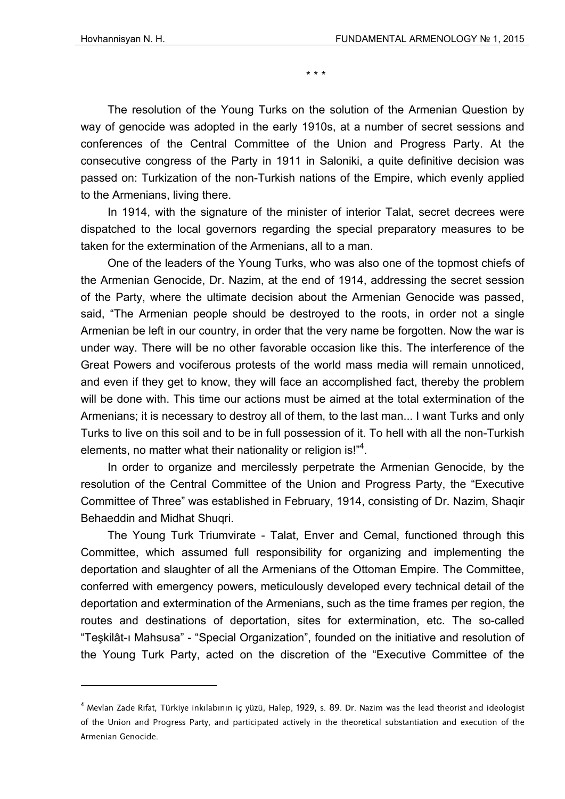\* \* \*

The resolution of the Young Turks on the solution of the Armenian Question by way of genocide was adopted in the early 1910s, at a number of secret sessions and conferences of the Central Committee of the Union and Progress Party. At the consecutive congress of the Party in 1911 in Saloniki, a quite definitive decision was passed on: Turkization of the non-Turkish nations of the Empire, which evenly applied to the Armenians, living there.

In 1914, with the signature of the minister of interior Talat, secret decrees were dispatched to the local governors regarding the special preparatory measures to be taken for the extermination of the Armenians, all to a man.

One of the leaders of the Young Turks, who was also one of the topmost chiefs of the Armenian Genocide, Dr. Nazim, at the end of 1914, addressing the secret session of the Party, where the ultimate decision about the Armenian Genocide was passed, said, "The Armenian people should be destroyed to the roots, in order not a single Armenian be left in our country, in order that the very name be forgotten. Now the war is under way. There will be no other favorable occasion like this. The interference of the Great Powers and vociferous protests of the world mass media will remain unnoticed, and even if they get to know, they will face an accomplished fact, thereby the problem will be done with. This time our actions must be aimed at the total extermination of the Armenians; it is necessary to destroy all of them, to the last man... I want Turks and only Turks to live on this soil and to be in full possession of it. To hell with all the non-Turkish elements, no matter what their nationality or religion is!"<sup>4</sup>.

In order to organize and mercilessly perpetrate the Armenian Genocide, by the resolution of the Central Committee of the Union and Progress Party, the "Executive Committee of Three" was established in February, 1914, consisting of Dr. Nazim, Shaqir Behaeddin and Midhat Shuqri.

The Young Turk Triumvirate - Talat, Enver and Cemal, functioned through this Committee, which assumed full responsibility for organizing and implementing the deportation and slaughter of all the Armenians of the Ottoman Empire. The Committee, conferred with emergency powers, meticulously developed every technical detail of the deportation and extermination of the Armenians, such as the time frames per region, the routes and destinations of deportation, sites for extermination, etc. The so-called "Teşkilât-ı Mahsusa" - "Special Organization", founded on the initiative and resolution of the Young Turk Party, acted on the discretion of the "Executive Committee of the

<sup>4</sup> Mevlan Zade Rıfat, Türkiye inkılabının iç yüzü, Halep, 1929, s. 89. Dr. Nazim was the lead theorist and ideologist of the Union and Progress Party, and participated actively in the theoretical substantiation and execution of the Armenian Genocide.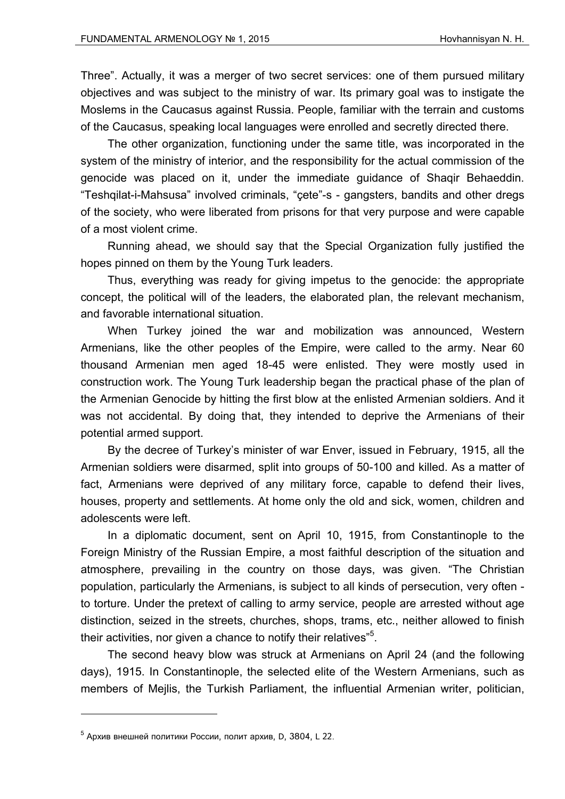Three". Actually, it was a merger of two secret services: one of them pursued military objectives and was subject to the ministry of war. Its primary goal was to instigate the Moslems in the Caucasus against Russia. People, familiar with the terrain and customs of the Caucasus, speaking local languages were enrolled and secretly directed there.

The other organization, functioning under the same title, was incorporated in the system of the ministry of interior, and the responsibility for the actual commission of the genocide was placed on it, under the immediate guidance of Shaqir Behaeddin. "Teshqilat-i-Mahsusa" involved criminals, "çete"-s - gangsters, bandits and other dregs of the society, who were liberated from prisons for that very purpose and were capable of a most violent crime.

Running ahead, we should say that the Special Organization fully justified the hopes pinned on them by the Young Turk leaders.

Thus, everything was ready for giving impetus to the genocide: the appropriate concept, the political will of the leaders, the elaborated plan, the relevant mechanism, and favorable international situation.

When Turkey joined the war and mobilization was announced, Western Armenians, like the other peoples of the Empire, were called to the army. Near 60 thousand Armenian men aged 18-45 were enlisted. They were mostly used in construction work. The Young Turk leadership began the practical phase of the plan of the Armenian Genocide by hitting the first blow at the enlisted Armenian soldiers. And it was not accidental. By doing that, they intended to deprive the Armenians of their potential armed support.

By the decree of Turkey's minister of war Enver, issued in February, 1915, all the Armenian soldiers were disarmed, split into groups of 50-100 and killed. As a matter of fact, Armenians were deprived of any military force, capable to defend their lives, houses, property and settlements. At home only the old and sick, women, children and adolescents were left.

In a diplomatic document, sent on April 10, 1915, from Constantinople to the Foreign Ministry of the Russian Empire, a most faithful description of the situation and atmosphere, prevailing in the country on those days, was given. "The Christian population, particularly the Armenians, is subject to all kinds of persecution, very often to torture. Under the pretext of calling to army service, people are arrested without age distinction, seized in the streets, churches, shops, trams, etc., neither allowed to finish their activities, nor given a chance to notify their relatives"<sup>5</sup>.

The second heavy blow was struck at Armenians on April 24 (and the following days), 1915. In Constantinople, the selected elite of the Western Armenians, such as members of Mejlis, the Turkish Parliament, the influential Armenian writer, politician,

 $^5$  Архив внешней политики России, полит архив, D, 3804, L 22.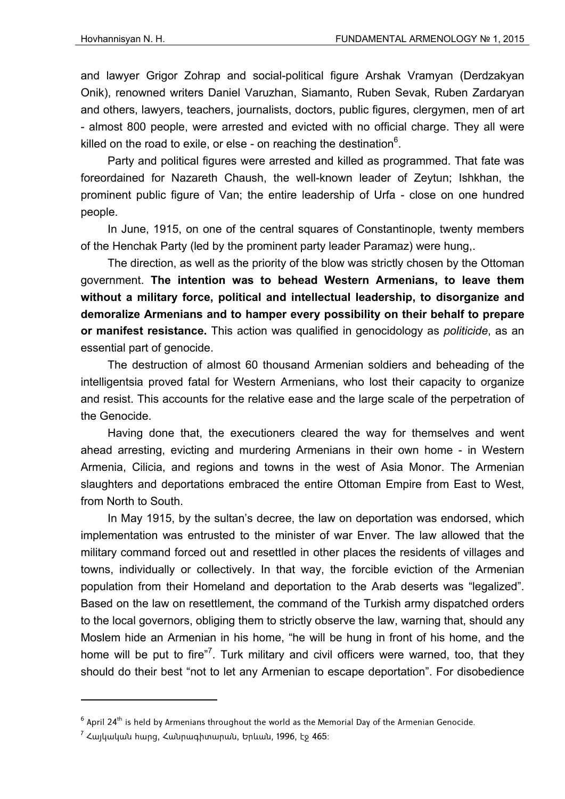and lawyer Grigor Zohrap and social-political figure Arshak Vramyan (Derdzakyan Onik), renowned writers Daniel Varuzhan, Siamanto, Ruben Sevak, Ruben Zardaryan and others, lawyers, teachers, journalists, doctors, public figures, clergymen, men of art - almost 800 people, were arrested and evicted with no official charge. They all were killed on the road to exile, or else - on reaching the destination $6$ .

Party and political figures were arrested and killed as programmed. That fate was foreordained for Nazareth Chaush, the well-known leader of Zeytun; Ishkhan, the prominent public figure of Van; the entire leadership of Urfa - close on one hundred people.

In June, 1915, on one of the central squares of Constantinople, twenty members of the Henchak Party (led by the prominent party leader Paramaz) were hung,.

The direction, as well as the priority of the blow was strictly chosen by the Ottoman government. **The intention was to behead Western Armenians, to leave them without a military force, political and intellectual leadership, to disorganize and demoralize Armenians and to hamper every possibility on their behalf to prepare or manifest resistance.** This action was qualified in genocidology as *politicide*, as an essential part of genocide.

The destruction of almost 60 thousand Armenian soldiers and beheading of the intelligentsia proved fatal for Western Armenians, who lost their capacity to organize and resist. This accounts for the relative ease and the large scale of the perpetration of the Genocide.

Having done that, the executioners cleared the way for themselves and went ahead arresting, evicting and murdering Armenians in their own home - in Western Armenia, Cilicia, and regions and towns in the west of Asia Monor. The Armenian slaughters and deportations embraced the entire Ottoman Empire from East to West, from North to South.

In May 1915, by the sultan's decree, the law on deportation was endorsed, which implementation was entrusted to the minister of war Enver. The law allowed that the military command forced out and resettled in other places the residents of villages and towns, individually or collectively. In that way, the forcible eviction of the Armenian population from their Homeland and deportation to the Arab deserts was "legalized". Based on the law on resettlement, the command of the Turkish army dispatched orders to the local governors, obliging them to strictly observe the law, warning that, should any Moslem hide an Armenian in his home, "he will be hung in front of his home, and the home will be put to fire"<sup>7</sup>. Turk military and civil officers were warned, too, that they should do their best "not to let any Armenian to escape deportation". For disobedience

 $^6$  April 24 $^{\rm th}$  is held by Armenians throughout the world as the Memorial Day of the Armenian Genocide.

 $^7$  Հայկական հարց, Հանրագիտարան, Երևան, 1996, էջ 465։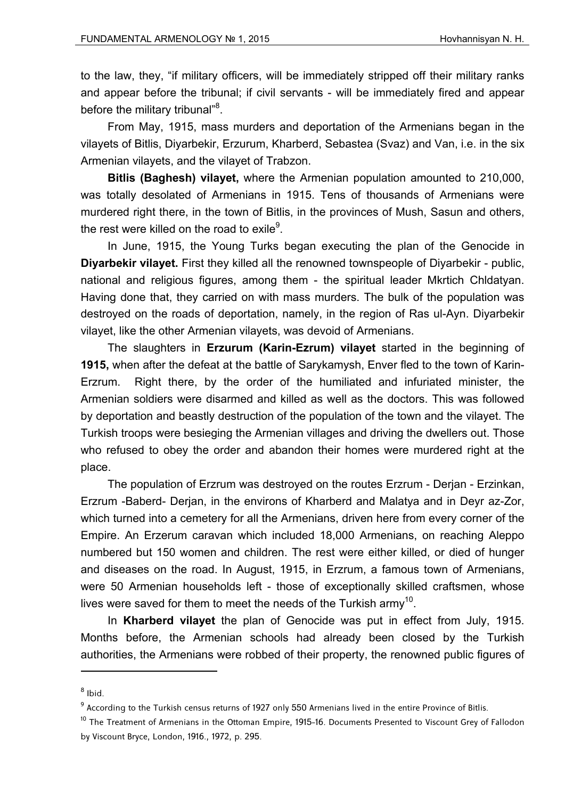to the law, they, "if military officers, will be immediately stripped off their military ranks and appear before the tribunal; if civil servants - will be immediately fired and appear before the military tribunal"<sup>8</sup>.

From May, 1915, mass murders and deportation of the Armenians began in the vilayets of Bitlis, Diyarbekir, Erzurum, Kharberd, Sebastea (Svaz) and Van, i.e. in the six Armenian vilayets, and the vilayet of Trabzon.

**Bitlis (Baghesh) vilayet,** where the Armenian population amounted to 210,000, was totally desolated of Armenians in 1915. Tens of thousands of Armenians were murdered right there, in the town of Bitlis, in the provinces of Mush, Sasun and others, the rest were killed on the road to exile $9$ .

In June, 1915, the Young Turks began executing the plan of the Genocide in **Diyarbekir vilayet.** First they killed all the renowned townspeople of Diyarbekir - public, national and religious figures, among them - the spiritual leader Mkrtich Chldatyan. Having done that, they carried on with mass murders. The bulk of the population was destroyed on the roads of deportation, namely, in the region of Ras ul-Ayn. Diyarbekir vilayet, like the other Armenian vilayets, was devoid of Armenians.

The slaughters in **Erzurum (Karin-Ezrum) vilayet** started in the beginning of **1915,** when after the defeat at the battle of Sarykamysh, Enver fled to the town of Karin-Erzrum. Right there, by the order of the humiliated and infuriated minister, the Armenian soldiers were disarmed and killed as well as the doctors. This was followed by deportation and beastly destruction of the population of the town and the vilayet. The Turkish troops were besieging the Armenian villages and driving the dwellers out. Those who refused to obey the order and abandon their homes were murdered right at the place.

The population of Erzrum was destroyed on the routes Erzrum - Derjan - Erzinkan, Erzrum -Baberd- Derjan, in the environs of Kharberd and Malatya and in Deyr az-Zor, which turned into a cemetery for all the Armenians, driven here from every corner of the Empire. An Erzerum caravan which included 18,000 Armenians, on reaching Aleppo numbered but 150 women and children. The rest were either killed, or died of hunger and diseases on the road. In August, 1915, in Erzrum, a famous town of Armenians, were 50 Armenian households left - those of exceptionally skilled craftsmen, whose lives were saved for them to meet the needs of the Turkish army<sup>10</sup>.

In **Kharberd vilayet** the plan of Genocide was put in effect from July, 1915. Months before, the Armenian schools had already been closed by the Turkish authorities, the Armenians were robbed of their property, the renowned public figures of

 $^8$  Ibid.

 $^9$  According to the Turkish census returns of 1927 only 550 Armenians lived in the entire Province of Bitlis.

<sup>&</sup>lt;sup>10</sup> The Treatment of Armenians in the Ottoman Empire, 1915-16. Documents Presented to Viscount Grey of Fallodon by Viscount Bryce, London, 1916., 1972, p. 295.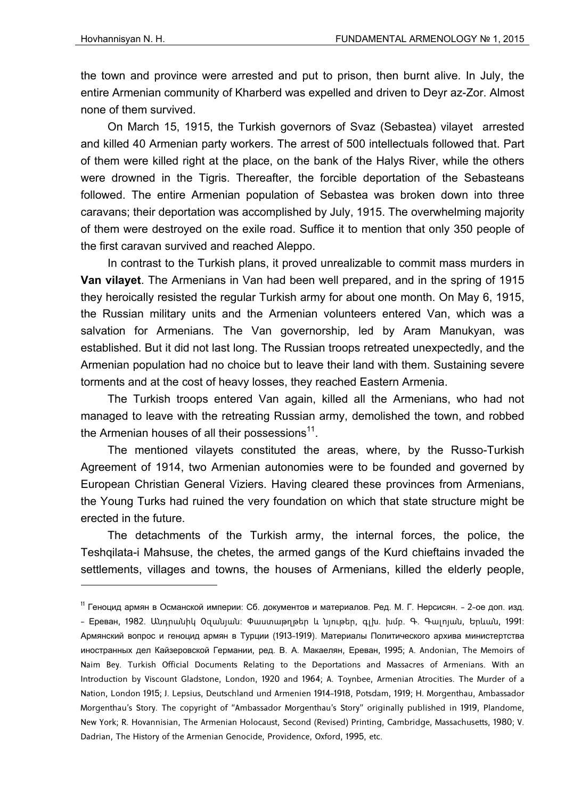the town and province were arrested and put to prison, then burnt alive. In July, the entire Armenian community of Kharberd was expelled and driven to Deyr az-Zor. Almost none of them survived.

On March 15, 1915, the Turkish governors of Svaz (Sebastea) vilayet arrested and killed 40 Armenian party workers. The arrest of 500 intellectuals followed that. Part of them were killed right at the place, on the bank of the Halys River, while the others were drowned in the Tigris. Thereafter, the forcible deportation of the Sebasteans followed. The entire Armenian population of Sebastea was broken down into three caravans; their deportation was accomplished by July, 1915. The overwhelming majority of them were destroyed on the exile road. Suffice it to mention that only 350 people of the first caravan survived and reached Aleppo.

In contrast to the Turkish plans, it proved unrealizable to commit mass murders in **Van vilayet**. The Armenians in Van had been well prepared, and in the spring of 1915 they heroically resisted the regular Turkish army for about one month. On May 6, 1915, the Russian military units and the Armenian volunteers entered Van, which was a salvation for Armenians. The Van governorship, led by Aram Manukyan, was established. But it did not last long. The Russian troops retreated unexpectedly, and the Armenian population had no choice but to leave their land with them. Sustaining severe torments and at the cost of heavy losses, they reached Eastern Armenia.

The Turkish troops entered Van again, killed all the Armenians, who had not managed to leave with the retreating Russian army, demolished the town, and robbed the Armenian houses of all their possessions<sup>11</sup>.

The mentioned vilayets constituted the areas, where, by the Russo-Turkish Agreement of 1914, two Armenian autonomies were to be founded and governed by European Christian General Viziers. Having cleared these provinces from Armenians, the Young Turks had ruined the very foundation on which that state structure might be erected in the future.

The detachments of the Turkish army, the internal forces, the police, the Teshqilata-i Mahsuse, the chetes, the armed gangs of the Kurd chieftains invaded the settlements, villages and towns, the houses of Armenians, killed the elderly people,

<sup>11</sup> Геноцид армян в Османской империи: Сб. документов и материалов. Ред. М. Г. Нерсисян. - 2-ое доп. изд. - Ереван, 1982. Անդրանիկ Օզանյան: Փաստաթղթեր և նյութեր, գլխ. խմբ. Գ. Գալոյան, Երևան, 1991: Армянский вопрос и геноцид армян в Турции (1913-1919). Материалы Политического архива министертства иностранных дел Кайзеровской Германии, ред. В. А. Макаелян, Ереван, 1995; A. Andonian, The Memoirs of Naim Bey. Turkish Official Documents Relating to the Deportations and Massacres of Armenians. With an Introduction by Viscount Gladstone, London, 1920 and 1964; A. Toynbee, Armenian Atrocities. The Murder of a Nation, London 1915; J. Lepsius, Deutschland und Armenien 1914-1918, Potsdam, 1919; H. Morgenthau, Ambassador Morgenthau's Story. The copyright of "Ambassador Morgenthau's Story" originally published in 1919, Plandome, New York; R. Hovannisian, The Armenian Holocaust, Second (Revised) Printing, Cambridge, Massachusetts, 1980; V. Dadrian, The History of the Armenian Genocide, Providence, Oxford, 1995, etc.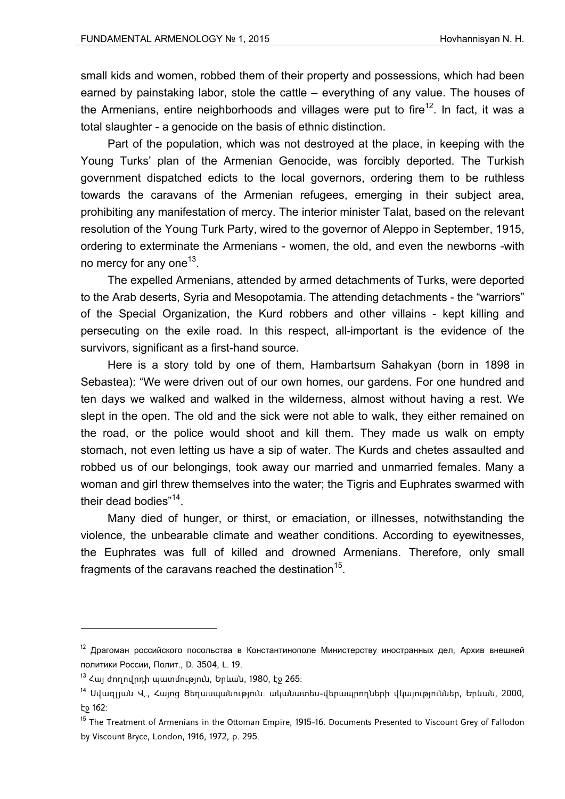small kids and women, robbed them of their property and possessions, which had been earned by painstaking labor, stole the cattle – everything of any value. The houses of the Armenians, entire neighborhoods and villages were put to fire<sup>12</sup>. In fact, it was a total slaughter - a genocide on the basis of ethnic distinction.

Part of the population, which was not destroyed at the place, in keeping with the Young Turks' plan of the Armenian Genocide, was forcibly deported. The Turkish government dispatched edicts to the local governors, ordering them to be ruthless towards the caravans of the Armenian refugees, emerging in their subject area, prohibiting any manifestation of mercy. The interior minister Talat, based on the relevant resolution of the Young Turk Party, wired to the governor of Aleppo in September, 1915, ordering to exterminate the Armenians - women, the old, and even the newborns -with no mercy for any one<sup>13</sup>.

The expelled Armenians, attended by armed detachments of Turks, were deported to the Arab deserts, Syria and Mesopotamia. The attending detachments - the "warriors" of the Special Organization, the Kurd robbers and other villains - kept killing and persecuting on the exile road. In this respect, all-important is the evidence of the survivors, significant as a first-hand source.

Here is a story told by one of them, Hambartsum Sahakyan (born in 1898 in Sebastea): "We were driven out of our own homes, our gardens. For one hundred and ten days we walked and walked in the wilderness, almost without having a rest. We slept in the open. The old and the sick were not able to walk, they either remained on the road, or the police would shoot and kill them. They made us walk on empty stomach, not even letting us have a sip of water. The Kurds and chetes assaulted and robbed us of our belongings, took away our married and unmarried females. Many a woman and girl threw themselves into the water; the Tigris and Euphrates swarmed with their dead bodies"14.

Many died of hunger, or thirst, or emaciation, or illnesses, notwithstanding the violence, the unbearable climate and weather conditions. According to eyewitnesses, the Euphrates was full of killed and drowned Armenians. Therefore, only small fragments of the caravans reached the destination<sup>15</sup>.

 $12$  Драгоман российского посольства в Константинополе Министерству иностранных дел. Архив внешней политики России, Полит., D. 3504, L. 19.

 $13$  Հայ ժողովրդի պատմություն, Երևան, 1980, էջ 265։

<sup>14</sup> Սվազլյան Վ., Հայոց Ցեղասպանություն. ականատես-վերապրողների վկայություններ, Երևան, 2000, էջ 162:

<sup>&</sup>lt;sup>15</sup> The Treatment of Armenians in the Ottoman Empire, 1915-16. Documents Presented to Viscount Grey of Fallodon by Viscount Bryce, London, 1916, 1972, p. 295.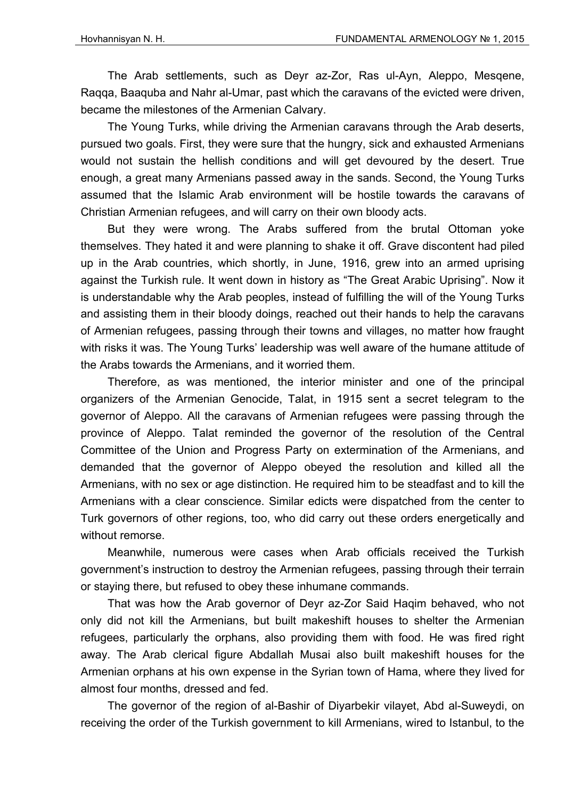The Arab settlements, such as Deyr az-Zor, Ras ul-Ayn, Aleppo, Mesqene, Raqqa, Baaquba and Nahr al-Umar, past which the caravans of the evicted were driven, became the milestones of the Armenian Calvary.

The Young Turks, while driving the Armenian caravans through the Arab deserts, pursued two goals. First, they were sure that the hungry, sick and exhausted Armenians would not sustain the hellish conditions and will get devoured by the desert. True enough, a great many Armenians passed away in the sands. Second, the Young Turks assumed that the Islamic Arab environment will be hostile towards the caravans of Christian Armenian refugees, and will carry on their own bloody acts.

But they were wrong. The Arabs suffered from the brutal Ottoman yoke themselves. They hated it and were planning to shake it off. Grave discontent had piled up in the Arab countries, which shortly, in June, 1916, grew into an armed uprising against the Turkish rule. It went down in history as "The Great Arabic Uprising". Now it is understandable why the Arab peoples, instead of fulfilling the will of the Young Turks and assisting them in their bloody doings, reached out their hands to help the caravans of Armenian refugees, passing through their towns and villages, no matter how fraught with risks it was. The Young Turks' leadership was well aware of the humane attitude of the Arabs towards the Armenians, and it worried them.

Therefore, as was mentioned, the interior minister and one of the principal organizers of the Armenian Genocide, Talat, in 1915 sent a secret telegram to the governor of Aleppo. All the caravans of Armenian refugees were passing through the province of Aleppo. Talat reminded the governor of the resolution of the Central Committee of the Union and Progress Party on extermination of the Armenians, and demanded that the governor of Aleppo obeyed the resolution and killed all the Armenians, with no sex or age distinction. He required him to be steadfast and to kill the Armenians with a clear conscience. Similar edicts were dispatched from the center to Turk governors of other regions, too, who did carry out these orders energetically and without remorse.

Meanwhile, numerous were cases when Arab officials received the Turkish government's instruction to destroy the Armenian refugees, passing through their terrain or staying there, but refused to obey these inhumane commands.

That was how the Arab governor of Deyr az-Zor Said Haqim behaved, who not only did not kill the Armenians, but built makeshift houses to shelter the Armenian refugees, particularly the orphans, also providing them with food. He was fired right away. The Arab clerical figure Abdallah Musai also built makeshift houses for the Armenian orphans at his own expense in the Syrian town of Hama, where they lived for almost four months, dressed and fed.

The governor of the region of al-Bashir of Diyarbekir vilayet, Abd al-Suweydi, on receiving the order of the Turkish government to kill Armenians, wired to Istanbul, to the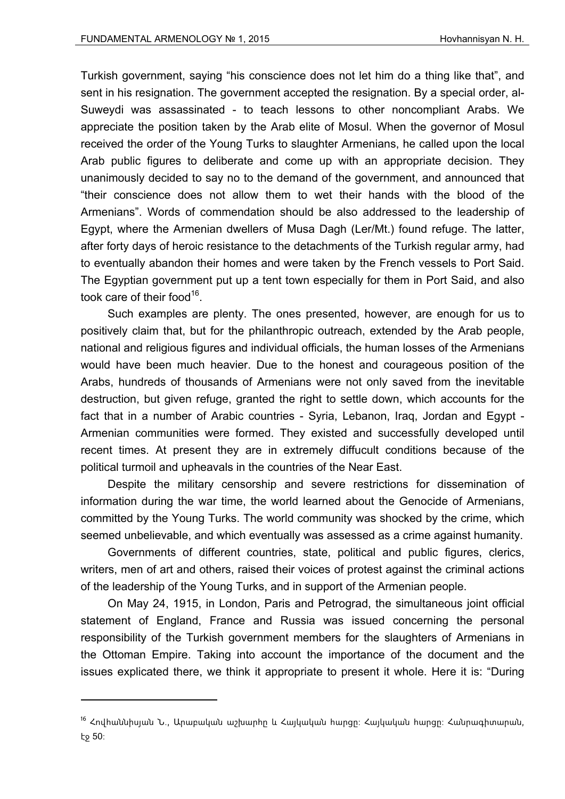Turkish government, saying "his conscience does not let him do a thing like that", and sent in his resignation. The government accepted the resignation. By a special order, al-Suweydi was assassinated - to teach lessons to other noncompliant Arabs. We appreciate the position taken by the Arab elite of Mosul. When the governor of Mosul received the order of the Young Turks to slaughter Armenians, he called upon the local Arab public figures to deliberate and come up with an appropriate decision. They unanimously decided to say no to the demand of the government, and announced that "their conscience does not allow them to wet their hands with the blood of the Armenians". Words of commendation should be also addressed to the leadership of Egypt, where the Armenian dwellers of Musa Dagh (Ler/Mt.) found refuge. The latter, after forty days of heroic resistance to the detachments of the Turkish regular army, had to eventually abandon their homes and were taken by the French vessels to Port Said. The Egyptian government put up a tent town especially for them in Port Said, and also took care of their food  $16$ .

Such examples are plenty. The ones presented, however, are enough for us to positively claim that, but for the philanthropic outreach, extended by the Arab people, national and religious figures and individual officials, the human losses of the Armenians would have been much heavier. Due to the honest and courageous position of the Arabs, hundreds of thousands of Armenians were not only saved from the inevitable destruction, but given refuge, granted the right to settle down, which accounts for the fact that in a number of Arabic countries - Syria, Lebanon, Iraq, Jordan and Egypt - Armenian communities were formed. They existed and successfully developed until recent times. At present they are in extremely diffucult conditions because of the political turmoil and upheavals in the countries of the Near East.

Despite the military censorship and severe restrictions for dissemination of information during the war time, the world learned about the Genocide of Armenians, committed by the Young Turks. The world community was shocked by the crime, which seemed unbelievable, and which eventually was assessed as a crime against humanity.

Governments of different countries, state, political and public figures, clerics, writers, men of art and others, raised their voices of protest against the criminal actions of the leadership of the Young Turks, and in support of the Armenian people.

On May 24, 1915, in London, Paris and Petrograd, the simultaneous joint official statement of England, France and Russia was issued concerning the personal responsibility of the Turkish government members for the slaughters of Armenians in the Ottoman Empire. Taking into account the importance of the document and the issues explicated there, we think it appropriate to present it whole. Here it is: "During

<sup>&</sup>lt;sup>16</sup> Հովհաննիսյան Ն., Արաբական աշխարհը և Հայկական հարցը։ Հայկական հարցը։ Հանրագիտարան, էջ 50: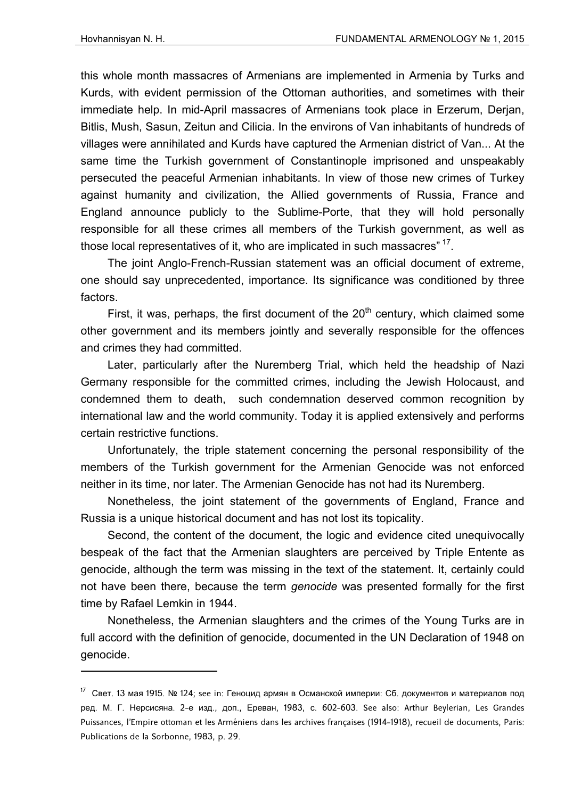this whole month massacres of Armenians are implemented in Armenia by Turks and Kurds, with evident permission of the Ottoman authorities, and sometimes with their immediate help. In mid-April massacres of Armenians took place in Erzerum, Derjan, Bitlis, Mush, Sasun, Zeitun and Cilicia. In the environs of Van inhabitants of hundreds of villages were annihilated and Kurds have captured the Armenian district of Van... At the same time the Turkish government of Constantinople imprisoned and unspeakably persecuted the peaceful Armenian inhabitants. In view of those new crimes of Turkey against humanity and civilization, the Allied governments of Russia, France and England announce publicly to the Sublime-Porte, that they will hold personally responsible for all these crimes all members of the Turkish government, as well as those local representatives of it, who are implicated in such massacres<sup>" 17</sup>.

The joint Anglo-French-Russian statement was an official document of extreme, one should say unprecedented, importance. Its significance was conditioned by three factors.

First, it was, perhaps, the first document of the  $20<sup>th</sup>$  century, which claimed some other government and its members jointly and severally responsible for the offences and crimes they had committed.

Later, particularly after the Nuremberg Trial, which held the headship of Nazi Germany responsible for the committed crimes, including the Jewish Holocaust, and condemned them to death, such condemnation deserved common recognition by international law and the world community. Today it is applied extensively and performs certain restrictive functions.

Unfortunately, the triple statement concerning the personal responsibility of the members of the Turkish government for the Armenian Genocide was not enforced neither in its time, nor later. The Armenian Genocide has not had its Nuremberg.

Nonetheless, the joint statement of the governments of England, France and Russia is a unique historical document and has not lost its topicality.

Second, the content of the document, the logic and evidence cited unequivocally bespeak of the fact that the Armenian slaughters are perceived by Triple Entente as genocide, although the term was missing in the text of the statement. It, certainly could not have been there, because the term *genocide* was presented formally for the first time by Rafael Lemkin in 1944.

Nonetheless, the Armenian slaughters and the crimes of the Young Turks are in full accord with the definition of genocide, documented in the UN Declaration of 1948 on genocide.

<sup>&</sup>lt;sup>17</sup> Свет. 13 мая 1915. № 124; see in: Геноцид армян в Османской империи: Сб. документов и материалов под ред. М. Г. Нерсисяна. 2-е изд., доп., Ереван, 1983, с. 602-603. See also: Arthur Beylerian, Les Grandes Puissances, l'Empire ottoman et les Arméniens dans les archives françaises (1914-1918), recueil de documents, Paris: Publications de la Sorbonne, 1983, p. 29.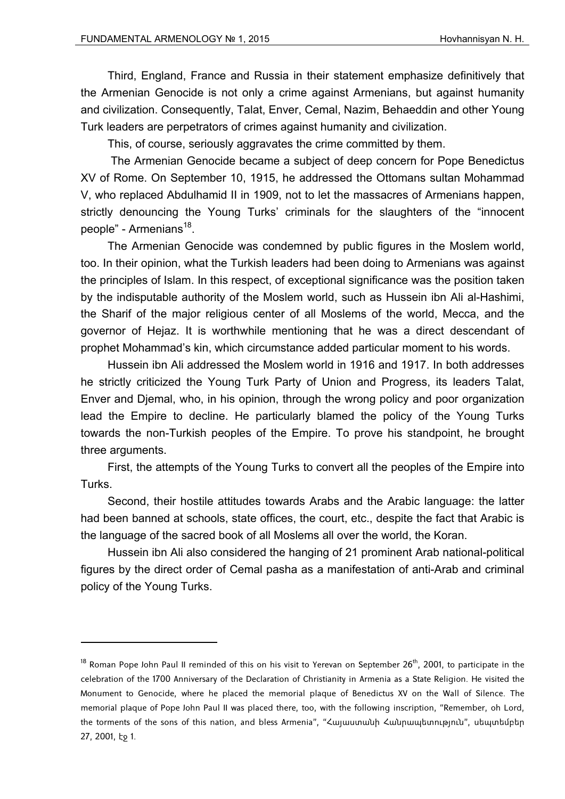Third, England, France and Russia in their statement emphasize definitively that the Armenian Genocide is not only a crime against Armenians, but against humanity and civilization. Consequently, Talat, Enver, Cemal, Nazim, Behaeddin and other Young Turk leaders are perpetrators of crimes against humanity and civilization.

This, of course, seriously aggravates the crime committed by them.

 The Armenian Genocide became a subject of deep concern for Pope Benedictus XV of Rome. On September 10, 1915, he addressed the Ottomans sultan Mohammad V, who replaced Abdulhamid II in 1909, not to let the massacres of Armenians happen, strictly denouncing the Young Turks' criminals for the slaughters of the "innocent people" - Armenians<sup>18</sup>.

The Armenian Genocide was condemned by public figures in the Moslem world, too. In their opinion, what the Turkish leaders had been doing to Armenians was against the principles of Islam. In this respect, of exceptional significance was the position taken by the indisputable authority of the Moslem world, such as Hussein ibn Ali al-Hashimi, the Sharif of the major religious center of all Moslems of the world, Mecca, and the governor of Hejaz. It is worthwhile mentioning that he was a direct descendant of prophet Mohammad's kin, which circumstance added particular moment to his words.

Hussein ibn Ali addressed the Moslem world in 1916 and 1917. In both addresses he strictly criticized the Young Turk Party of Union and Progress, its leaders Talat, Enver and Djemal, who, in his opinion, through the wrong policy and poor organization lead the Empire to decline. He particularly blamed the policy of the Young Turks towards the non-Turkish peoples of the Empire. To prove his standpoint, he brought three arguments.

First, the attempts of the Young Turks to convert all the peoples of the Empire into Turks.

Second, their hostile attitudes towards Arabs and the Arabic language: the latter had been banned at schools, state offices, the court, etc., despite the fact that Arabic is the language of the sacred book of all Moslems all over the world, the Koran.

Hussein ibn Ali also considered the hanging of 21 prominent Arab national-political figures by the direct order of Cemal pasha as a manifestation of anti-Arab and criminal policy of the Young Turks.

 $18$  Roman Pope John Paul II reminded of this on his visit to Yerevan on September 26<sup>th</sup>, 2001, to participate in the celebration of the 1700 Anniversary of the Declaration of Christianity in Armenia as a State Religion. He visited the Monument to Genocide, where he placed the memorial plaque of Benedictus XV on the Wall of Silence. The memorial plaque of Pope John Paul II was placed there, too, with the following inscription, "Remember, oh Lord, the torments of the sons of this nation, and bless Armenia", "Հայաստանի Հանրապետություն", սեպտեմբեր 27, 2001, էջ 1.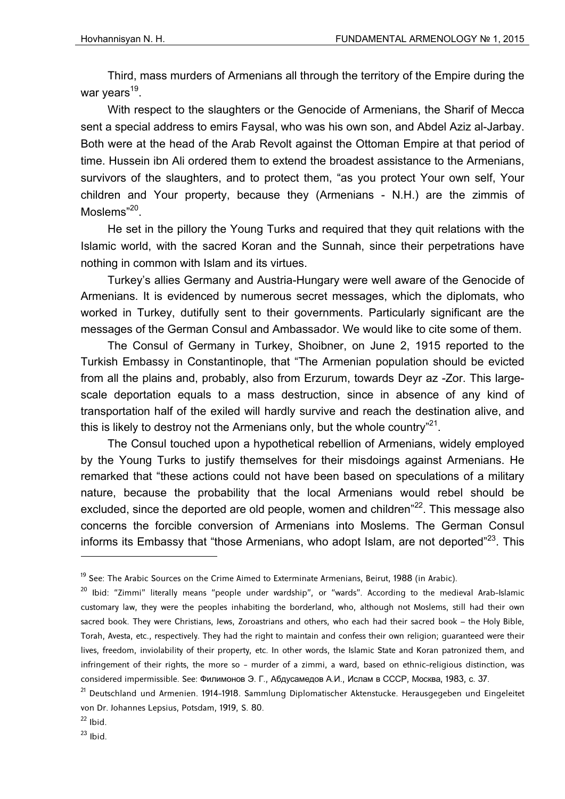Third, mass murders of Armenians all through the territory of the Empire during the war years $19$ .

With respect to the slaughters or the Genocide of Armenians, the Sharif of Mecca sent a special address to emirs Faysal, who was his own son, and Abdel Aziz al-Jarbay. Both were at the head of the Arab Revolt against the Ottoman Empire at that period of time. Hussein ibn Ali ordered them to extend the broadest assistance to the Armenians, survivors of the slaughters, and to protect them, "as you protect Your own self, Your children and Your property, because they (Armenians - N.H.) are the zimmis of Moslems<sup>"20</sup>.

He set in the pillory the Young Turks and required that they quit relations with the Islamic world, with the sacred Koran and the Sunnah, since their perpetrations have nothing in common with Islam and its virtues.

Turkey's allies Germany and Austria-Hungary were well aware of the Genocide of Armenians. It is evidenced by numerous secret messages, which the diplomats, who worked in Turkey, dutifully sent to their governments. Particularly significant are the messages of the German Consul and Ambassador. We would like to cite some of them.

The Consul of Germany in Turkey, Shoibner, on June 2, 1915 reported to the Turkish Embassy in Constantinople, that "The Armenian population should be evicted from all the plains and, probably, also from Erzurum, towards Deyr az -Zor. This largescale deportation equals to a mass destruction, since in absence of any kind of transportation half of the exiled will hardly survive and reach the destination alive, and this is likely to destroy not the Armenians only, but the whole country<sup> $n^2$ 1</sup>.

The Consul touched upon a hypothetical rebellion of Armenians, widely employed by the Young Turks to justify themselves for their misdoings against Armenians. He remarked that "these actions could not have been based on speculations of a military nature, because the probability that the local Armenians would rebel should be excluded, since the deported are old people, women and children<sup>"22</sup>. This message also concerns the forcible conversion of Armenians into Moslems. The German Consul informs its Embassy that "those Armenians, who adopt Islam, are not deported"<sup>23</sup>. This

<sup>&</sup>lt;sup>19</sup> See: The Arabic Sources on the Crime Aimed to Exterminate Armenians, Beirut, 1988 (in Arabic).

<sup>&</sup>lt;sup>20</sup> Ibid: "Zimmi" literally means "people under wardship", or "wards". According to the medieval Arab-Islamic customary law, they were the peoples inhabiting the borderland, who, although not Moslems, still had their own sacred book. They were Christians, Jews, Zoroastrians and others, who each had their sacred book – the Holy Bible, Torah, Avesta, etc., respectively. They had the right to maintain and confess their own religion; guaranteed were their lives, freedom, inviolability of their property, etc. In other words, the Islamic State and Koran patronized them, and infringement of their rights, the more so - murder of a zimmi, a ward, based on ethnic-religious distinction, was considered impermissible. See: Филимонов Э. Г., Абдусамедов А.И., Ислам в СССР, Москва, 1983, с. 37.

<sup>&</sup>lt;sup>21</sup> Deutschland und Armenien. 1914-1918. Sammlung Diplomatischer Aktenstucke. Herausgegeben und Eingeleitet von Dr. Johannes Lepsius, Potsdam, 1919, S. 80.

 $22$  Ibid.

 $23$  Ibid.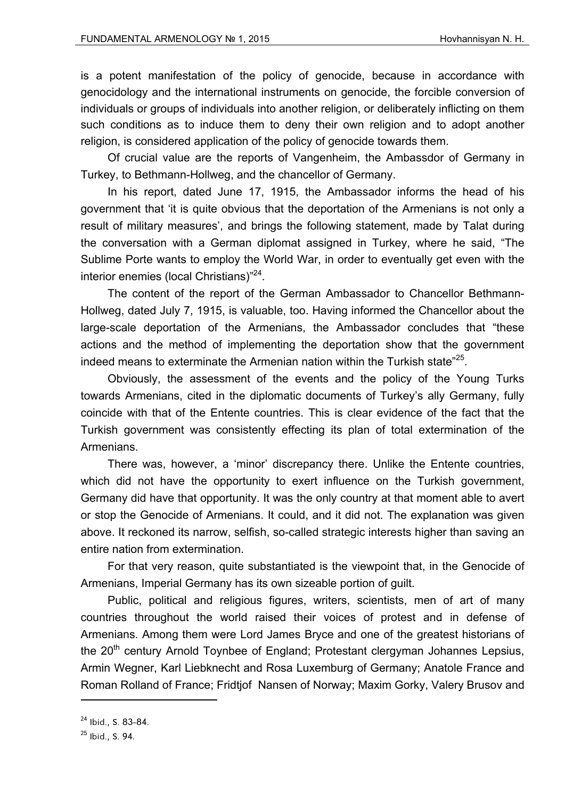is a potent manifestation of the policy of genocide, because in accordance with genocidology and the international instruments on genocide, the forcible conversion of individuals or groups of individuals into another religion, or deliberately inflicting on them such conditions as to induce them to deny their own religion and to adopt another religion, is considered application of the policy of genocide towards them.

Of crucial value are the reports of Vangenheim, the Ambassdor of Germany in Turkey, to Bethmann-Hollweg, and the chancellor of Germany.

In his report, dated June 17, 1915, the Ambassador informs the head of his government that 'it is quite obvious that the deportation of the Armenians is not only a result of military measures', and brings the following statement, made by Talat during the conversation with a German diplomat assigned in Turkey, where he said, "The Sublime Porte wants to employ the World War, in order to eventually get even with the interior enemies (local Christians)"24.

The content of the report of the German Ambassador to Chancellor Bethmann-Hollweg, dated July 7, 1915, is valuable, too. Having informed the Chancellor about the large-scale deportation of the Armenians, the Ambassador concludes that "these actions and the method of implementing the deportation show that the government indeed means to exterminate the Armenian nation within the Turkish state<sup>"25</sup>.

Obviously, the assessment of the events and the policy of the Young Turks towards Armenians, cited in the diplomatic documents of Turkey's ally Germany, fully coincide with that of the Entente countries. This is clear evidence of the fact that the Turkish government was consistently effecting its plan of total extermination of the Armenians.

There was, however, a 'minor' discrepancy there. Unlike the Entente countries, which did not have the opportunity to exert influence on the Turkish government, Germany did have that opportunity. It was the only country at that moment able to avert or stop the Genocide of Armenians. It could, and it did not. The explanation was given above. It reckoned its narrow, selfish, so-called strategic interests higher than saving an entire nation from extermination.

For that very reason, quite substantiated is the viewpoint that, in the Genocide of Armenians, Imperial Germany has its own sizeable portion of guilt.

Public, political and religious figures, writers, scientists, men of art of many countries throughout the world raised their voices of protest and in defense of Armenians. Among them were Lord James Bryce and one of the greatest historians of the  $20<sup>th</sup>$  century Arnold Toynbee of England; Protestant clergyman Johannes Lepsius, Armin Wegner, Karl Liebknecht and Rosa Luxemburg of Germany; Anatole France and Roman Rolland of France; Fridtjof Nansen of Norway; Maxim Gorky, Valery Brusov and

<sup>24</sup> Ibid., S. 83-84.

<sup>25</sup> Ibid., S. 94.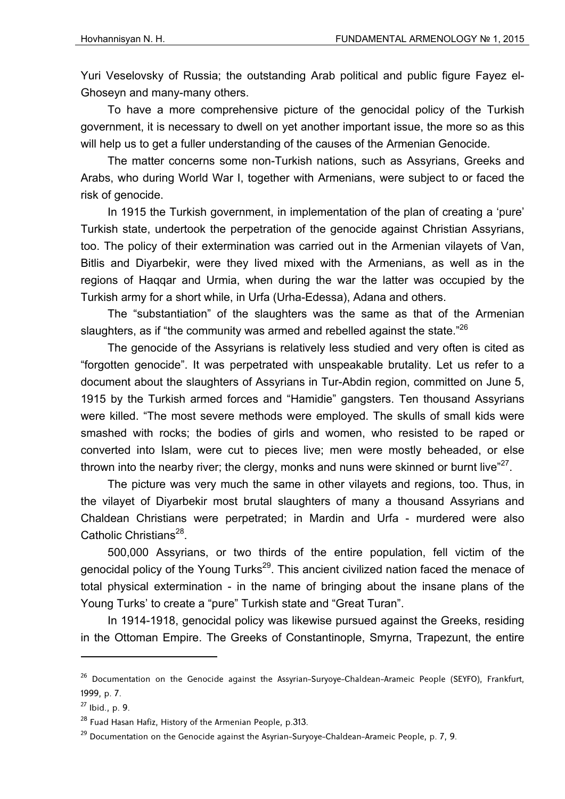Yuri Veselovsky of Russia; the outstanding Arab political and public figure Fayez el-Ghoseyn and many-many others.

To have a more comprehensive picture of the genocidal policy of the Turkish government, it is necessary to dwell on yet another important issue, the more so as this will help us to get a fuller understanding of the causes of the Armenian Genocide.

The matter concerns some non-Turkish nations, such as Assyrians, Greeks and Arabs, who during World War I, together with Armenians, were subject to or faced the risk of genocide.

In 1915 the Turkish government, in implementation of the plan of creating a 'pure' Turkish state, undertook the perpetration of the genocide against Christian Assyrians, too. The policy of their extermination was carried out in the Armenian vilayets of Van, Bitlis and Diyarbekir, were they lived mixed with the Armenians, as well as in the regions of Haqqar and Urmia, when during the war the latter was occupied by the Turkish army for a short while, in Urfa (Urha-Edessa), Adana and others.

The "substantiation" of the slaughters was the same as that of the Armenian slaughters, as if "the community was armed and rebelled against the state."<sup>26</sup>

The genocide of the Assyrians is relatively less studied and very often is cited as "forgotten genocide". It was perpetrated with unspeakable brutality. Let us refer to a document about the slaughters of Assyrians in Tur-Abdin region, committed on June 5, 1915 by the Turkish armed forces and "Hamidie" gangsters. Ten thousand Assyrians were killed. "The most severe methods were employed. The skulls of small kids were smashed with rocks; the bodies of girls and women, who resisted to be raped or converted into Islam, were cut to pieces live; men were mostly beheaded, or else thrown into the nearby river; the clergy, monks and nuns were skinned or burnt live $^{27}$ .

The picture was very much the same in other vilayets and regions, too. Thus, in the vilayet of Diyarbekir most brutal slaughters of many a thousand Assyrians and Chaldean Christians were perpetrated; in Mardin and Urfa - murdered were also Catholic Christians $^{28}$ .

500,000 Assyrians, or two thirds of the entire population, fell victim of the genocidal policy of the Young Turks<sup>29</sup>. This ancient civilized nation faced the menace of total physical extermination - in the name of bringing about the insane plans of the Young Turks' to create a "pure" Turkish state and "Great Turan".

In 1914-1918, genocidal policy was likewise pursued against the Greeks, residing in the Ottoman Empire. The Greeks of Constantinople, Smyrna, Trapezunt, the entire

<sup>&</sup>lt;sup>26</sup> Documentation on the Genocide against the Assyrian-Suryoye-Chaldean-Arameic People (SEYFO), Frankfurt, 1999, p. 7.

 $27$  Ibid., p. 9.

 $^{28}$  Fuad Hasan Hafiz, History of the Armenian People, p.313.

 $29$  Documentation on the Genocide against the Asyrian-Suryoye-Chaldean-Arameic People, p. 7, 9.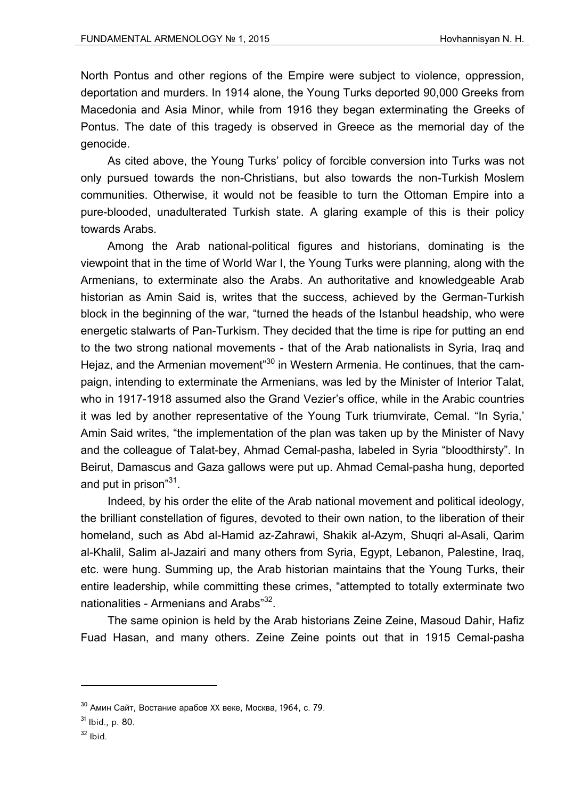North Pontus and other regions of the Empire were subject to violence, oppression, deportation and murders. In 1914 alone, the Young Turks deported 90,000 Greeks from Macedonia and Asia Minor, while from 1916 they began exterminating the Greeks of Pontus. The date of this tragedy is observed in Greece as the memorial day of the genocide.

As cited above, the Young Turks' policy of forcible conversion into Turks was not only pursued towards the non-Christians, but also towards the non-Turkish Moslem communities. Otherwise, it would not be feasible to turn the Ottoman Empire into a pure-blooded, unadulterated Turkish state. A glaring example of this is their policy towards Arabs.

Among the Arab national-political figures and historians, dominating is the viewpoint that in the time of World War I, the Young Turks were planning, along with the Armenians, to exterminate also the Arabs. An authoritative and knowledgeable Arab historian as Amin Said is, writes that the success, achieved by the German-Turkish block in the beginning of the war, "turned the heads of the Istanbul headship, who were energetic stalwarts of Pan-Turkism. They decided that the time is ripe for putting an end to the two strong national movements - that of the Arab nationalists in Syria, Iraq and Hejaz, and the Armenian movement<sup>"30</sup> in Western Armenia. He continues, that the campaign, intending to exterminate the Armenians, was led by the Minister of Interior Talat, who in 1917-1918 assumed also the Grand Vezier's office, while in the Arabic countries it was led by another representative of the Young Turk triumvirate, Cemal. "In Syria,' Amin Said writes, "the implementation of the plan was taken up by the Minister of Navy and the colleague of Talat-bey, Ahmad Cemal-pasha, labeled in Syria "bloodthirsty". In Beirut, Damascus and Gaza gallows were put up. Ahmad Cemal-pasha hung, deported and put in prison"<sup>31</sup>.

Indeed, by his order the elite of the Arab national movement and political ideology, the brilliant constellation of figures, devoted to their own nation, to the liberation of their homeland, such as Abd al-Hamid az-Zahrawi, Shakik al-Azym, Shuqri al-Asali, Qarim al-Khalil, Salim al-Jazairi and many others from Syria, Egypt, Lebanon, Palestine, Iraq, etc. were hung. Summing up, the Arab historian maintains that the Young Turks, their entire leadership, while committing these crimes, "attempted to totally exterminate two nationalities - Armenians and Arabs"<sup>32</sup>.

The same opinion is held by the Arab historians Zeine Zeine, Masoud Dahir, Hafiz Fuad Hasan, and many others. Zeine Zeine points out that in 1915 Cemal-pasha

 $30$  Амин Сайт, Востание арабов XX веке, Москва, 1964, с. 79.

 $31$  Ibid., p. 80.

 $32$  Ibid.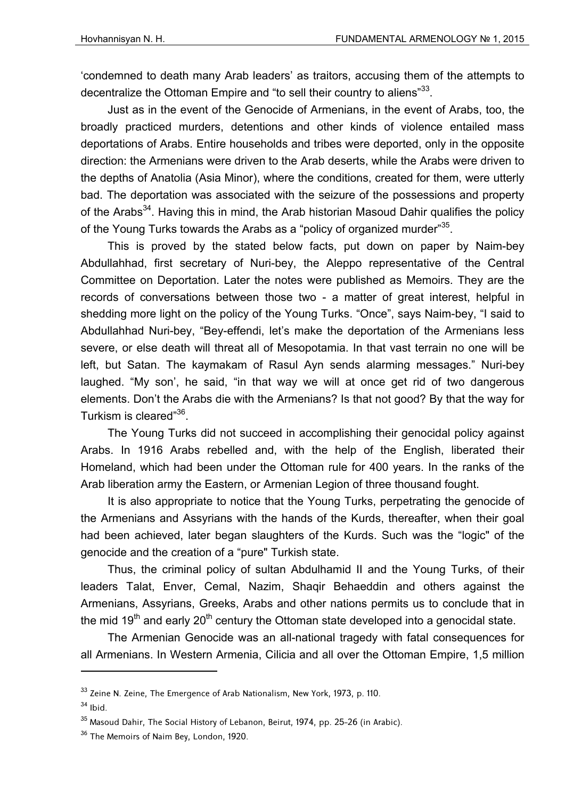'condemned to death many Arab leaders' as traitors, accusing them of the attempts to decentralize the Ottoman Empire and "to sell their country to aliens"<sup>33</sup>.

Just as in the event of the Genocide of Armenians, in the event of Arabs, too, the broadly practiced murders, detentions and other kinds of violence entailed mass deportations of Arabs. Entire households and tribes were deported, only in the opposite direction: the Armenians were driven to the Arab deserts, while the Arabs were driven to the depths of Anatolia (Asia Minor), where the conditions, created for them, were utterly bad. The deportation was associated with the seizure of the possessions and property of the Arabs<sup>34</sup>. Having this in mind, the Arab historian Masoud Dahir qualifies the policy of the Young Turks towards the Arabs as a "policy of organized murder"<sup>35</sup>.

This is proved by the stated below facts, put down on paper by Naim-bey Abdullahhad, first secretary of Nuri-bey, the Aleppo representative of the Central Committee on Deportation. Later the notes were published as Memoirs. They are the records of conversations between those two - a matter of great interest, helpful in shedding more light on the policy of the Young Turks. "Once", says Naim-bey, "I said to Abdullahhad Nuri-bey, "Bey-effendi, let's make the deportation of the Armenians less severe, or else death will threat all of Mesopotamia. In that vast terrain no one will be left, but Satan. The kaymakam of Rasul Ayn sends alarming messages." Nuri-bey laughed. "My son', he said, "in that way we will at once get rid of two dangerous elements. Don't the Arabs die with the Armenians? Is that not good? By that the way for Turkism is cleared"<sup>36</sup>.

The Young Turks did not succeed in accomplishing their genocidal policy against Arabs. In 1916 Arabs rebelled and, with the help of the English, liberated their Homeland, which had been under the Ottoman rule for 400 years. In the ranks of the Arab liberation army the Eastern, or Armenian Legion of three thousand fought.

It is also appropriate to notice that the Young Turks, perpetrating the genocide of the Armenians and Assyrians with the hands of the Kurds, thereafter, when their goal had been achieved, later began slaughters of the Kurds. Such was the "logic" of the genocide and the creation of a "pure" Turkish state.

Thus, the criminal policy of sultan Abdulhamid II and the Young Turks, of their leaders Talat, Enver, Cemal, Nazim, Shaqir Behaeddin and others against the Armenians, Assyrians, Greeks, Arabs and other nations permits us to conclude that in the mid  $19<sup>th</sup>$  and early  $20<sup>th</sup>$  century the Ottoman state developed into a genocidal state.

The Armenian Genocide was an all-national tragedy with fatal consequences for all Armenians. In Western Armenia, Cilicia and all over the Ottoman Empire, 1,5 million

 $34$  Ibid.

<sup>&</sup>lt;sup>33</sup> Zeine N. Zeine, The Emergence of Arab Nationalism, New York, 1973, p. 110.

<sup>35</sup> Masoud Dahir, The Social History of Lebanon, Beirut, 1974, pp. 25-26 (in Arabic).

<sup>&</sup>lt;sup>36</sup> The Memoirs of Naim Bey, London, 1920.